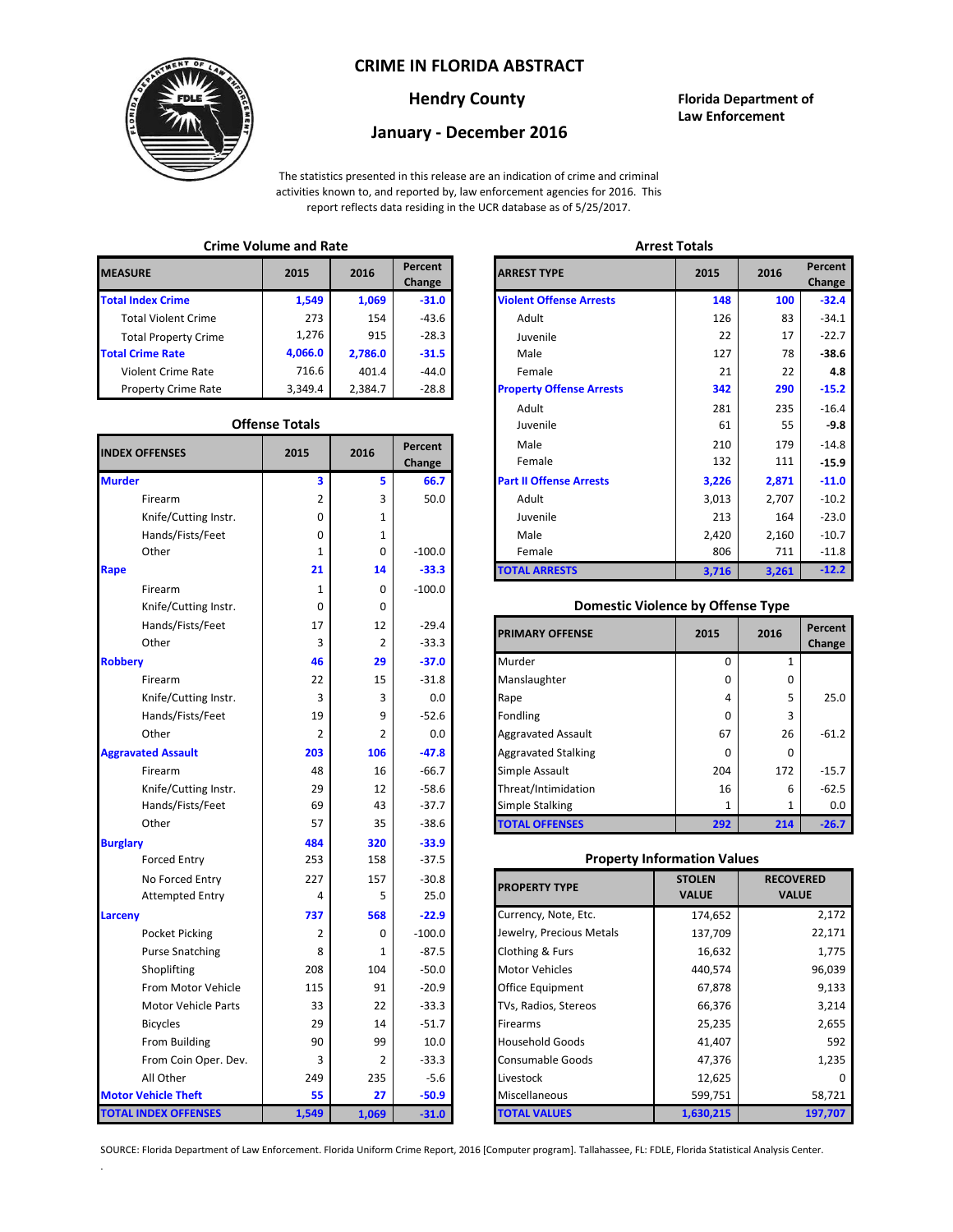### **CRIME IN FLORIDA ABSTRACT**



#### **Hendry County Florida Department of Law Enforcement**

# **January - December 2016**

The statistics presented in this release are an indication of crime and criminal activities known to, and reported by, law enforcement agencies for 2016. This report reflects data residing in the UCR database as of 5/25/2017.

### **Crime Volume and Rate Arrest Totals**

| <b>MEASURE</b>              | 2015    | 2016    | Percent<br>Change | <b>ARREST TYPE</b>             |
|-----------------------------|---------|---------|-------------------|--------------------------------|
| <b>Total Index Crime</b>    | 1,549   | 1,069   | $-31.0$           | <b>Violent Offense Arrests</b> |
| <b>Total Violent Crime</b>  | 273     | 154     | $-43.6$           | Adult                          |
| <b>Total Property Crime</b> | 1.276   | 915     | $-28.3$           | Juvenile                       |
| <b>Total Crime Rate</b>     | 4,066.0 | 2,786.0 | $-31.5$           | Male                           |
| <b>Violent Crime Rate</b>   | 716.6   | 401.4   | $-44.0$           | Female                         |
| <b>Property Crime Rate</b>  | 3.349.4 | 2.384.7 | $-28.8$           | <b>Property Offense Arrest</b> |

#### **Offense Totals**

| <b>INDEX OFFENSES</b>       | 2015           | 2016           | Percent<br>Change | Male<br>Female                           | 210<br>179<br>132<br>111 |                  | $-14.8$<br>$-15.9$ |
|-----------------------------|----------------|----------------|-------------------|------------------------------------------|--------------------------|------------------|--------------------|
| <b>Murder</b>               | 3              | 5              | 66.7              | <b>Part II Offense Arrests</b>           | 3,226                    | 2,871            | $-11.0$            |
| Firearm                     | 2              | 3              | 50.0              | Adult                                    | 3,013                    | 2,707            | $-10.2$            |
| Knife/Cutting Instr.        | 0              | 1              |                   | Juvenile                                 | 213                      | 164              | $-23.0$            |
| Hands/Fists/Feet            | $\mathbf 0$    | 1              |                   | Male                                     | 2,420                    | 2,160            | $-10.7$            |
| Other                       | 1              | $\mathbf 0$    | $-100.0$          | Female                                   | 806                      | 711              | $-11.8$            |
| Rape                        | 21             | 14             | $-33.3$           | <b>TOTAL ARRESTS</b>                     | 3,716                    | 3,261            | $-12.2$            |
| Firearm                     | $\mathbf{1}$   | $\mathbf 0$    | $-100.0$          |                                          |                          |                  |                    |
| Knife/Cutting Instr.        | $\mathbf 0$    | 0              |                   | <b>Domestic Violence by Offense Type</b> |                          |                  |                    |
| Hands/Fists/Feet            | 17             | 12             | $-29.4$           |                                          | 2015                     | 2016             | Percent            |
| Other                       | 3              | $\overline{2}$ | $-33.3$           | <b>PRIMARY OFFENSE</b>                   |                          |                  | Change             |
| <b>Robbery</b>              | 46             | 29             | $-37.0$           | Murder                                   | $\mathbf 0$              | 1                |                    |
| Firearm                     | 22             | 15             | $-31.8$           | Manslaughter                             | $\Omega$                 | 0                |                    |
| Knife/Cutting Instr.        | 3              | 3              | 0.0               | Rape                                     | 4                        | 5                | 25.0               |
| Hands/Fists/Feet            | 19             | 9              | $-52.6$           | Fondling                                 | $\Omega$                 | 3                |                    |
| Other                       | $\overline{2}$ | 2              | 0.0               | <b>Aggravated Assault</b>                | 67                       | 26               | $-61.2$            |
| <b>Aggravated Assault</b>   | 203            | 106            | $-47.8$           | <b>Aggravated Stalking</b>               | $\Omega$                 | $\Omega$         |                    |
| Firearm                     | 48             | 16             | $-66.7$           | Simple Assault                           | 204                      | 172              | $-15.7$            |
| Knife/Cutting Instr.        | 29             | 12             | $-58.6$           | Threat/Intimidation                      | 16                       | 6                | $-62.5$            |
| Hands/Fists/Feet            | 69             | 43             | $-37.7$           | Simple Stalking                          | $\mathbf{1}$             | $\mathbf{1}$     | 0.0                |
| Other                       | 57             | 35             | $-38.6$           | <b>TOTAL OFFENSES</b>                    | 292                      | 214              | $-26.7$            |
| <b>Burglary</b>             | 484            | 320            | $-33.9$           |                                          |                          |                  |                    |
| <b>Forced Entry</b>         | 253            | 158            | $-37.5$           | <b>Property Information Values</b>       |                          |                  |                    |
| No Forced Entry             | 227            | 157            | $-30.8$           | <b>PROPERTY TYPE</b>                     | <b>STOLEN</b>            | <b>RECOVERED</b> |                    |
| <b>Attempted Entry</b>      | 4              | 5              | 25.0              |                                          | <b>VALUE</b>             | <b>VALUE</b>     |                    |
| Larceny                     | 737            | 568            | $-22.9$           | Currency, Note, Etc.                     | 174,652                  |                  | 2,172              |
| Pocket Picking              | 2              | 0              | $-100.0$          | Jewelry, Precious Metals                 | 137,709                  |                  | 22,171             |
| <b>Purse Snatching</b>      | 8              | 1              | $-87.5$           | Clothing & Furs                          | 16,632                   |                  | 1,775              |
| Shoplifting                 | 208            | 104            | $-50.0$           | <b>Motor Vehicles</b>                    | 440,574                  |                  | 96,039             |
| From Motor Vehicle          | 115            | 91             | $-20.9$           | Office Equipment                         | 67,878                   |                  | 9,133              |
| Motor Vehicle Parts         | 33             | 22             | $-33.3$           | TVs, Radios, Stereos                     | 66,376                   | 3,214            |                    |
| <b>Bicycles</b>             | 29             | 14             | $-51.7$           | Firearms                                 | 25,235                   |                  | 2,655              |
| From Building               | 90             | 99             | 10.0              | <b>Household Goods</b>                   | 41,407                   |                  | 592                |
| From Coin Oper. Dev.        | 3              | 2              | $-33.3$           | Consumable Goods                         | 47,376                   |                  | 1,235              |
| All Other                   | 249            | 235            | $-5.6$            | Livestock                                | 12,625                   |                  |                    |
| <b>Motor Vehicle Theft</b>  | 55             | 27             | $-50.9$           | Miscellaneous                            | 599,751                  |                  | 58,721             |
| <b>TOTAL INDEX OFFENSES</b> | 1,549          | 1,069          | $-31.0$           | <b>TOTAL VALUES</b>                      | 1,630,215                |                  | 197,707            |

.

| CHILLE VULUILE ANU RALE |                         |         | лнсэг готагэ      |                                 |       |         |                   |
|-------------------------|-------------------------|---------|-------------------|---------------------------------|-------|---------|-------------------|
| RΕ                      | 2015                    | 2016    | Percent<br>Change | <b>ARREST TYPE</b>              | 2015  | 2016    | Percent<br>Change |
| dex Crime               | 1,549                   | 1,069   | $-31.0$           | <b>Violent Offense Arrests</b>  | 148   | 100     | $-32.4$           |
| Il Violent Crime        | 273                     | 154     | $-43.6$           | Adult                           | 126   | 83      | $-34.1$           |
| Il Property Crime       | 1,276                   | 915     | $-28.3$           | Juvenile                        | 22    | 17      | $-22.7$           |
| me Rate                 | 4,066.0                 | 2,786.0 | $-31.5$           | Male                            | 127   | 78      | $-38.6$           |
| ent Crime Rate          | 716.6                   | 401.4   | $-44.0$           | Female                          | 21    | 22      | 4.8               |
| erty Crime Rate         | 3,349.4                 | 2,384.7 | $-28.8$           | <b>Property Offense Arrests</b> | 342   | 290     | $-15.2$           |
|                         |                         |         |                   | Adult                           | 281   | 235     | $-16.4$           |
|                         | <b>Offense Totals</b>   |         |                   | Juvenile                        | 61    | 55      | $-9.8$            |
| <b>FFENSES</b>          | Percent<br>2016<br>2015 |         | Male              | 210                             | 179   | $-14.8$ |                   |
|                         |                         |         | Change            | Female                          | 132   | 111     | $-15.9$           |
|                         | 3                       | 5       | 66.7              | <b>Part II Offense Arrests</b>  | 3,226 | 2,871   | $-11.0$           |
| Firearm                 | 2                       | 3       | 50.0              | Adult                           | 3,013 | 2,707   | $-10.2$           |
| Knife/Cutting Instr.    | 0                       | 1       |                   | Juvenile                        | 213   | 164     | $-23.0$           |
| Hands/Fists/Feet        | 0                       | 1       |                   | Male                            | 2,420 | 2,160   | $-10.7$           |
| Other                   | 1                       | 0       | $-100.0$          | Female                          | 806   | 711     | $-11.8$           |
|                         | 21                      | 14      | $-33.3$           | <b>TOTAL ARRESTS</b>            | 3,716 | 3,261   | $-12.2$           |
|                         |                         |         |                   |                                 |       |         |                   |

#### 0 **Domestic Violence by Offense Type**

| Hands/Fists/Feet<br>Other | 17<br>3 | 12  | $-29.4$<br>$-33.3$ | <b>PRIMARY OFFENSE</b>     | 2015     | 2016 | Percent<br>Change |
|---------------------------|---------|-----|--------------------|----------------------------|----------|------|-------------------|
|                           | 46      | 29  | $-37.0$            | Murder                     |          |      |                   |
| Firearm                   | 22      | 15  | $-31.8$            | Manslaughter               | $\Omega$ | 0    |                   |
| Knife/Cutting Instr.      | 3       | 3   | 0.0                | Rape                       | 4        | 5    | 25.0              |
| Hands/Fists/Feet          | 19      | 9   | $-52.6$            | <b>Fondling</b>            | 0        | 3    |                   |
| Other                     | 2       |     | 0.0                | <b>Aggravated Assault</b>  | 67       | 26   | $-61.2$           |
| ted Assault               | 203     | 106 | $-47.8$            | <b>Aggravated Stalking</b> | $\Omega$ | 0    |                   |
| Firearm                   | 48      | 16  | $-66.7$            | Simple Assault             | 204      | 172  | $-15.7$           |
| Knife/Cutting Instr.      | 29      | 12  | $-58.6$            | Threat/Intimidation        | 16       | 6    | $-62.5$           |
| Hands/Fists/Feet          | 69      | 43  | $-37.7$            | <b>Simple Stalking</b>     |          |      | 0.0               |
| Other                     | 57      | 35  | $-38.6$            | <b>TOTAL OFFENSES</b>      | 292      | 214  | $-26.7$           |

#### **Property Information Values**

| 227 | 157         | $-30.8$  | <b>PROPERTY TYPE</b>     | <b>STOLEN</b> | <b>RECOVERED</b> |
|-----|-------------|----------|--------------------------|---------------|------------------|
| 4   | 5           | 25.0     |                          | <b>VALUE</b>  | <b>VALUE</b>     |
| 737 | 568         | $-22.9$  | Currency, Note, Etc.     | 174,652       | 2,172            |
| 2   | $\mathbf 0$ | $-100.0$ | Jewelry, Precious Metals | 137,709       | 22,171           |
| 8   | 1           | $-87.5$  | Clothing & Furs          | 16,632        | 1,775            |
| 208 | 104         | $-50.0$  | <b>Motor Vehicles</b>    | 440,574       | 96,039           |
| 115 | 91          | $-20.9$  | <b>Office Equipment</b>  | 67,878        | 9,133            |
| 33  | 22          | $-33.3$  | TVs, Radios, Stereos     | 66,376        | 3,214            |
| 29  | 14          | $-51.7$  | <b>Firearms</b>          | 25,235        | 2,655            |
| 90  | 99          | 10.0     | <b>Household Goods</b>   | 41,407        | 592              |
| 3   | 2           | $-33.3$  | <b>Consumable Goods</b>  | 47,376        | 1,235            |
| 249 | 235         | $-5.6$   | Livestock                | 12,625        | o                |
| 55  | 27          | $-50.9$  | Miscellaneous            | 599,751       | 58,721           |
| 549 | 1,069       | $-31.0$  | TOTAL VALUES             | 1,630,215     | 197,707          |

SOURCE: Florida Department of Law Enforcement. Florida Uniform Crime Report, 2016 [Computer program]. Tallahassee, FL: FDLE, Florida Statistical Analysis Center.